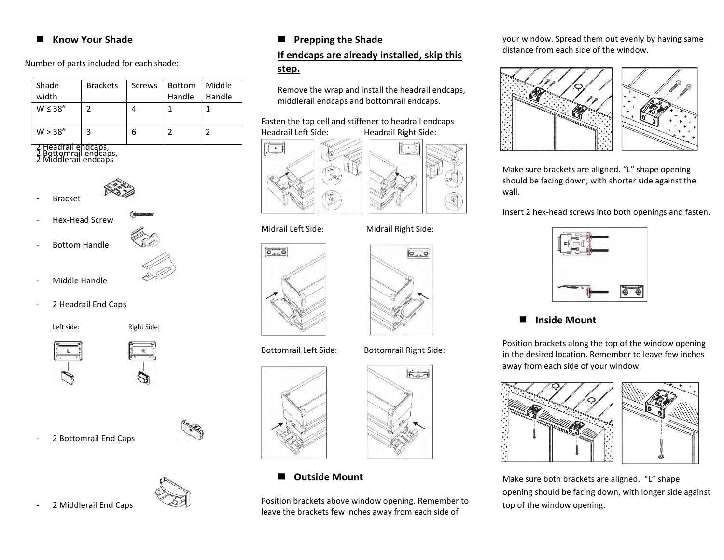#### **Know Your Shade**

Number of parts included for each shade:

| Shade<br>width | <b>Brackets</b> | Screws | <b>Bottom</b><br>Handle | Middle<br>Handle |
|----------------|-----------------|--------|-------------------------|------------------|
| $W \leq 38''$  |                 |        |                         |                  |
| W > 38"        | 3               |        |                         |                  |

2 Headrail endcaps, 2 Bottomrail endcaps, 2 Middlerail endcaps



**Bracket** 

Hex-Head Screw

- Bottom Handle



- Middle Handle
- 2 Headrail End Caps

Left side: Right Side:





2 Bottomrail End Caps



- 2 Middlerail End Caps



# **If endcaps are already installed, skip this step.**

Remove the wrap and install the headrail endcaps, middlerail endcaps and bottomrail endcaps.

#### Fasten the top cell and stiffener to headrail endcaps Headrail Left Side: Headrail Right Side:





 $\Theta_{\text{max}}$   $\Theta$ 

East

#### Midrail Left Side: Midrail Right Side:



#### Bottomrail Left Side: Bottomrail Right Side:



# **Outside Mount**

Position brackets above window opening. Remember to leave the brackets few inches away from each side of

your window. Spread them out evenly by having same distance from each side of the window.



Make sure brackets are aligned. "L" shape opening should be facing down, with shorter side against the wall.

Insert 2 hex-head screws into both openings and fasten.



# **Inside Mount**

Position brackets along the top of the window opening in the desired location. Remember to leave few inches away from each side of your window.



Make sure both brackets are aligned. "L" shape opening should be facing down, with longer side against top of the window opening.